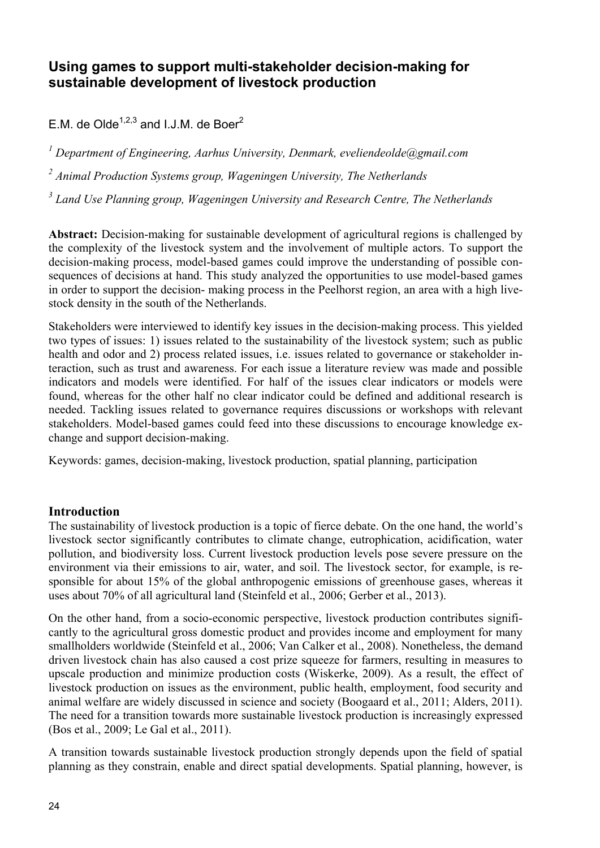## **Using games to support multi-stakeholder decision-making for sustainable development of livestock production**

E.M. de Olde<sup> $1,2,3$ </sup> and I.J.M. de Boer<sup>2</sup>

<sup>1</sup> Department of Engineering, Aarhus University, Denmark, eveliendeolde@gmail.com

*2 Animal Production Systems group, Wageningen University, The Netherlands* 

*3 Land Use Planning group, Wageningen University and Research Centre, The Netherlands* 

**Abstract:** Decision-making for sustainable development of agricultural regions is challenged by the complexity of the livestock system and the involvement of multiple actors. To support the decision-making process, model-based games could improve the understanding of possible consequences of decisions at hand. This study analyzed the opportunities to use model-based games in order to support the decision- making process in the Peelhorst region, an area with a high livestock density in the south of the Netherlands.

Stakeholders were interviewed to identify key issues in the decision-making process. This yielded two types of issues: 1) issues related to the sustainability of the livestock system; such as public health and odor and 2) process related issues, i.e. issues related to governance or stakeholder interaction, such as trust and awareness. For each issue a literature review was made and possible indicators and models were identified. For half of the issues clear indicators or models were found, whereas for the other half no clear indicator could be defined and additional research is needed. Tackling issues related to governance requires discussions or workshops with relevant stakeholders. Model-based games could feed into these discussions to encourage knowledge exchange and support decision-making.

Keywords: games, decision-making, livestock production, spatial planning, participation

## **Introduction**

The sustainability of livestock production is a topic of fierce debate. On the one hand, the world's livestock sector significantly contributes to climate change, eutrophication, acidification, water pollution, and biodiversity loss. Current livestock production levels pose severe pressure on the environment via their emissions to air, water, and soil. The livestock sector, for example, is responsible for about 15% of the global anthropogenic emissions of greenhouse gases, whereas it uses about 70% of all agricultural land (Steinfeld et al., 2006; Gerber et al., 2013).

On the other hand, from a socio-economic perspective, livestock production contributes significantly to the agricultural gross domestic product and provides income and employment for many smallholders worldwide (Steinfeld et al., 2006; Van Calker et al., 2008). Nonetheless, the demand driven livestock chain has also caused a cost prize squeeze for farmers, resulting in measures to upscale production and minimize production costs (Wiskerke, 2009). As a result, the effect of livestock production on issues as the environment, public health, employment, food security and animal welfare are widely discussed in science and society (Boogaard et al., 2011; Alders, 2011). The need for a transition towards more sustainable livestock production is increasingly expressed (Bos et al., 2009; Le Gal et al., 2011).

A transition towards sustainable livestock production strongly depends upon the field of spatial planning as they constrain, enable and direct spatial developments. Spatial planning, however, is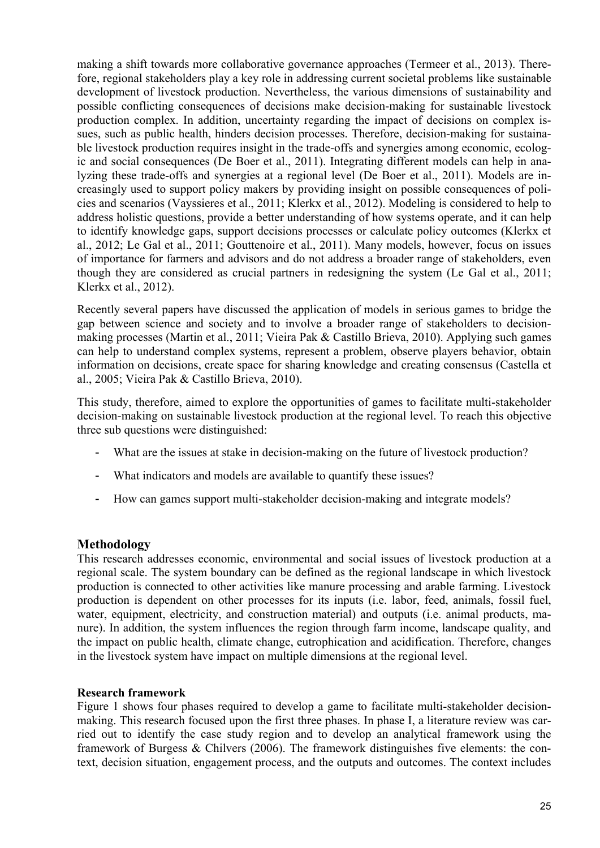making a shift towards more collaborative governance approaches (Termeer et al., 2013). Therefore, regional stakeholders play a key role in addressing current societal problems like sustainable development of livestock production. Nevertheless, the various dimensions of sustainability and possible conflicting consequences of decisions make decision-making for sustainable livestock production complex. In addition, uncertainty regarding the impact of decisions on complex issues, such as public health, hinders decision processes. Therefore, decision-making for sustainable livestock production requires insight in the trade-offs and synergies among economic, ecologic and social consequences (De Boer et al., 2011). Integrating different models can help in analyzing these trade-offs and synergies at a regional level (De Boer et al., 2011). Models are increasingly used to support policy makers by providing insight on possible consequences of policies and scenarios (Vayssieres et al., 2011; Klerkx et al., 2012). Modeling is considered to help to address holistic questions, provide a better understanding of how systems operate, and it can help to identify knowledge gaps, support decisions processes or calculate policy outcomes (Klerkx et al., 2012; Le Gal et al., 2011; Gouttenoire et al., 2011). Many models, however, focus on issues of importance for farmers and advisors and do not address a broader range of stakeholders, even though they are considered as crucial partners in redesigning the system (Le Gal et al., 2011; Klerkx et al., 2012).

Recently several papers have discussed the application of models in serious games to bridge the gap between science and society and to involve a broader range of stakeholders to decisionmaking processes (Martin et al., 2011; Vieira Pak & Castillo Brieva, 2010). Applying such games can help to understand complex systems, represent a problem, observe players behavior, obtain information on decisions, create space for sharing knowledge and creating consensus (Castella et al., 2005; Vieira Pak & Castillo Brieva, 2010).

This study, therefore, aimed to explore the opportunities of games to facilitate multi-stakeholder decision-making on sustainable livestock production at the regional level. To reach this objective three sub questions were distinguished:

- What are the issues at stake in decision-making on the future of livestock production?
- What indicators and models are available to quantify these issues?
- How can games support multi-stakeholder decision-making and integrate models?

## **Methodology**

This research addresses economic, environmental and social issues of livestock production at a regional scale. The system boundary can be defined as the regional landscape in which livestock production is connected to other activities like manure processing and arable farming. Livestock production is dependent on other processes for its inputs (i.e. labor, feed, animals, fossil fuel, water, equipment, electricity, and construction material) and outputs (i.e. animal products, manure). In addition, the system influences the region through farm income, landscape quality, and the impact on public health, climate change, eutrophication and acidification. Therefore, changes in the livestock system have impact on multiple dimensions at the regional level.

#### **Research framework**

Figure 1 shows four phases required to develop a game to facilitate multi-stakeholder decisionmaking. This research focused upon the first three phases. In phase I, a literature review was carried out to identify the case study region and to develop an analytical framework using the framework of Burgess & Chilvers (2006). The framework distinguishes five elements: the context, decision situation, engagement process, and the outputs and outcomes. The context includes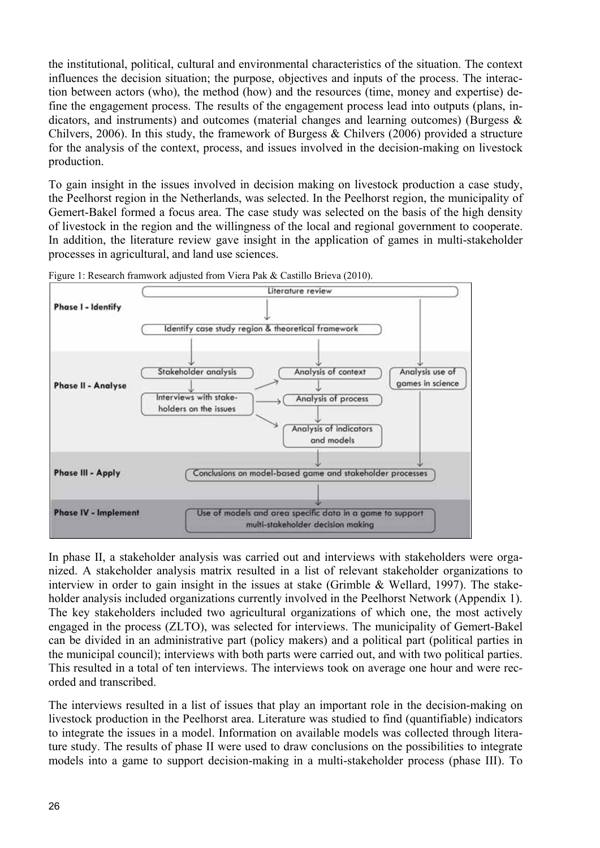the institutional, political, cultural and environmental characteristics of the situation. The context influences the decision situation; the purpose, objectives and inputs of the process. The interaction between actors (who), the method (how) and the resources (time, money and expertise) define the engagement process. The results of the engagement process lead into outputs (plans, indicators, and instruments) and outcomes (material changes and learning outcomes) (Burgess  $\&$ Chilvers, 2006). In this study, the framework of Burgess & Chilvers (2006) provided a structure for the analysis of the context, process, and issues involved in the decision-making on livestock production.

To gain insight in the issues involved in decision making on livestock production a case study, the Peelhorst region in the Netherlands, was selected. In the Peelhorst region, the municipality of Gemert-Bakel formed a focus area. The case study was selected on the basis of the high density of livestock in the region and the willingness of the local and regional government to cooperate. In addition, the literature review gave insight in the application of games in multi-stakeholder processes in agricultural, and land use sciences.



Figure 1: Research framwork adjusted from Viera Pak & Castillo Brieva (2010).

In phase II, a stakeholder analysis was carried out and interviews with stakeholders were organized. A stakeholder analysis matrix resulted in a list of relevant stakeholder organizations to interview in order to gain insight in the issues at stake (Grimble & Wellard, 1997). The stakeholder analysis included organizations currently involved in the Peelhorst Network (Appendix 1). The key stakeholders included two agricultural organizations of which one, the most actively engaged in the process (ZLTO), was selected for interviews. The municipality of Gemert-Bakel can be divided in an administrative part (policy makers) and a political part (political parties in the municipal council); interviews with both parts were carried out, and with two political parties. This resulted in a total of ten interviews. The interviews took on average one hour and were recorded and transcribed.

The interviews resulted in a list of issues that play an important role in the decision-making on livestock production in the Peelhorst area. Literature was studied to find (quantifiable) indicators to integrate the issues in a model. Information on available models was collected through literature study. The results of phase II were used to draw conclusions on the possibilities to integrate models into a game to support decision-making in a multi-stakeholder process (phase III). To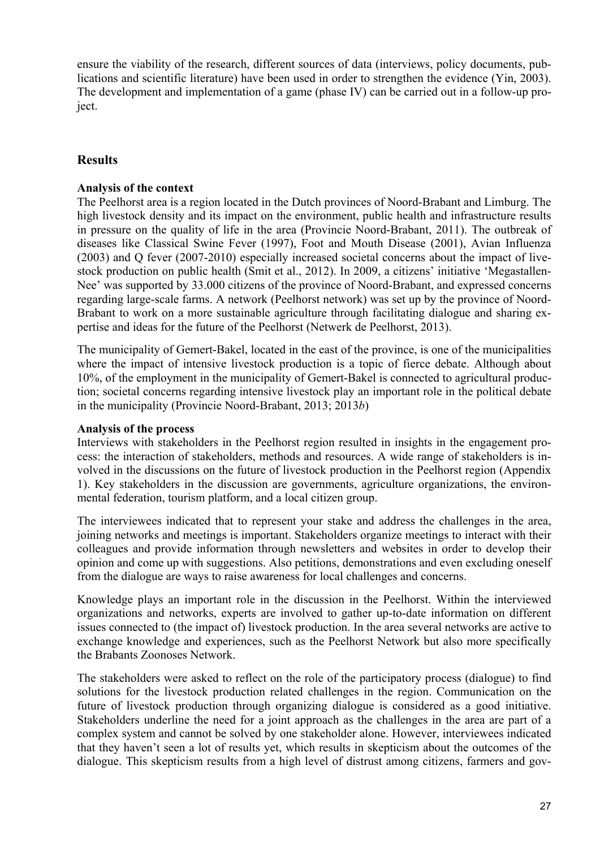ensure the viability of the research, different sources of data (interviews, policy documents, publications and scientific literature) have been used in order to strengthen the evidence (Yin, 2003). The development and implementation of a game (phase IV) can be carried out in a follow-up project.

## **Results**

## **Analysis of the context**

The Peelhorst area is a region located in the Dutch provinces of Noord-Brabant and Limburg. The high livestock density and its impact on the environment, public health and infrastructure results in pressure on the quality of life in the area (Provincie Noord-Brabant, 2011). The outbreak of diseases like Classical Swine Fever (1997), Foot and Mouth Disease (2001), Avian Influenza (2003) and Q fever (2007-2010) especially increased societal concerns about the impact of livestock production on public health (Smit et al., 2012). In 2009, a citizens' initiative 'Megastallen-Nee' was supported by 33.000 citizens of the province of Noord-Brabant, and expressed concerns regarding large-scale farms. A network (Peelhorst network) was set up by the province of Noord-Brabant to work on a more sustainable agriculture through facilitating dialogue and sharing expertise and ideas for the future of the Peelhorst (Netwerk de Peelhorst, 2013).

The municipality of Gemert-Bakel, located in the east of the province, is one of the municipalities where the impact of intensive livestock production is a topic of fierce debate. Although about 10%, of the employment in the municipality of Gemert-Bakel is connected to agricultural production; societal concerns regarding intensive livestock play an important role in the political debate in the municipality (Provincie Noord-Brabant, 2013; 2013*b*)

#### **Analysis of the process**

Interviews with stakeholders in the Peelhorst region resulted in insights in the engagement process: the interaction of stakeholders, methods and resources. A wide range of stakeholders is involved in the discussions on the future of livestock production in the Peelhorst region (Appendix 1). Key stakeholders in the discussion are governments, agriculture organizations, the environmental federation, tourism platform, and a local citizen group.

The interviewees indicated that to represent your stake and address the challenges in the area, joining networks and meetings is important. Stakeholders organize meetings to interact with their colleagues and provide information through newsletters and websites in order to develop their opinion and come up with suggestions. Also petitions, demonstrations and even excluding oneself from the dialogue are ways to raise awareness for local challenges and concerns.

Knowledge plays an important role in the discussion in the Peelhorst. Within the interviewed organizations and networks, experts are involved to gather up-to-date information on different issues connected to (the impact of) livestock production. In the area several networks are active to exchange knowledge and experiences, such as the Peelhorst Network but also more specifically the Brabants Zoonoses Network.

The stakeholders were asked to reflect on the role of the participatory process (dialogue) to find solutions for the livestock production related challenges in the region. Communication on the future of livestock production through organizing dialogue is considered as a good initiative. Stakeholders underline the need for a joint approach as the challenges in the area are part of a complex system and cannot be solved by one stakeholder alone. However, interviewees indicated that they haven't seen a lot of results yet, which results in skepticism about the outcomes of the dialogue. This skepticism results from a high level of distrust among citizens, farmers and gov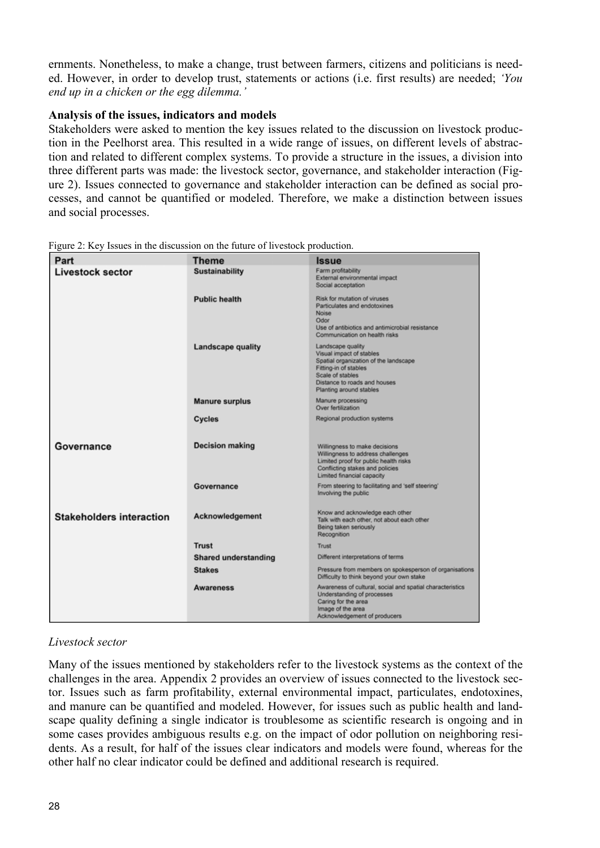ernments. Nonetheless, to make a change, trust between farmers, citizens and politicians is needed. However, in order to develop trust, statements or actions (i.e. first results) are needed; *'You end up in a chicken or the egg dilemma.'* 

#### **Analysis of the issues, indicators and models**

Stakeholders were asked to mention the key issues related to the discussion on livestock production in the Peelhorst area. This resulted in a wide range of issues, on different levels of abstraction and related to different complex systems. To provide a structure in the issues, a division into three different parts was made: the livestock sector, governance, and stakeholder interaction (Figure 2). Issues connected to governance and stakeholder interaction can be defined as social processes, and cannot be quantified or modeled. Therefore, we make a distinction between issues and social processes.

| Part                            | <b>Theme</b>                | <b>Issue</b>                                                                                                                                                                                   |
|---------------------------------|-----------------------------|------------------------------------------------------------------------------------------------------------------------------------------------------------------------------------------------|
| <b>Livestock sector</b>         | <b>Sustainability</b>       | Farm profitability<br>External environmental impact<br>Social acceptation                                                                                                                      |
|                                 | <b>Public health</b>        | Risk for mutation of viruses<br>Particulates and endotoxines<br>Noise<br>Odor<br>Use of antibiotics and antimicrobial resistance<br>Communication on health risks                              |
|                                 | <b>Landscape quality</b>    | Landscape quality<br>Visual impact of stables<br>Spatial organization of the landscape<br>Fitting-in of stables<br>Scale of stables<br>Distance to roads and houses<br>Planting around stables |
|                                 | <b>Manure surplus</b>       | Manure processing<br>Over fertilization                                                                                                                                                        |
|                                 | Cycles                      | Regional production systems                                                                                                                                                                    |
| Governance                      | <b>Decision making</b>      | Willingness to make decisions<br>Willingness to address challenges<br>Limited proof for public health risks<br>Conflicting stakes and policies<br>Limited financial capacity                   |
|                                 | Governance                  | From steering to facilitating and 'self steering'<br>Involving the public                                                                                                                      |
| <b>Stakeholders interaction</b> | Acknowledgement             | Know and acknowledge each other<br>Talk with each other, not about each other<br>Being taken seriously<br>Recognition                                                                          |
|                                 | <b>Trust</b>                | Trust                                                                                                                                                                                          |
|                                 | <b>Shared understanding</b> | Different interpretations of terms                                                                                                                                                             |
|                                 | <b>Stakes</b>               | Pressure from members on spokesperson of organisations<br>Difficulty to think beyond your own stake                                                                                            |
|                                 | <b>Awareness</b>            | Awareness of cultural, social and spatial characteristics<br>Understanding of processes<br>Caring for the area<br>Image of the area<br>Acknowledgement of producers                            |

Figure 2: Key Issues in the discussion on the future of livestock production.

## *Livestock sector*

Many of the issues mentioned by stakeholders refer to the livestock systems as the context of the challenges in the area. Appendix 2 provides an overview of issues connected to the livestock sector. Issues such as farm profitability, external environmental impact, particulates, endotoxines, and manure can be quantified and modeled. However, for issues such as public health and landscape quality defining a single indicator is troublesome as scientific research is ongoing and in some cases provides ambiguous results e.g. on the impact of odor pollution on neighboring residents. As a result, for half of the issues clear indicators and models were found, whereas for the other half no clear indicator could be defined and additional research is required.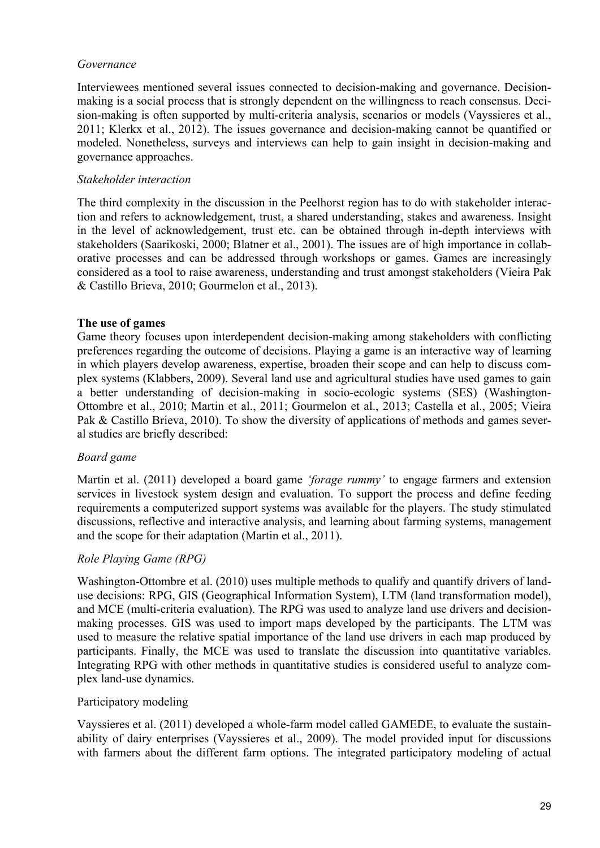#### *Governance*

Interviewees mentioned several issues connected to decision-making and governance. Decisionmaking is a social process that is strongly dependent on the willingness to reach consensus. Decision-making is often supported by multi-criteria analysis, scenarios or models (Vayssieres et al., 2011; Klerkx et al., 2012). The issues governance and decision-making cannot be quantified or modeled. Nonetheless, surveys and interviews can help to gain insight in decision-making and governance approaches.

#### *Stakeholder interaction*

The third complexity in the discussion in the Peelhorst region has to do with stakeholder interaction and refers to acknowledgement, trust, a shared understanding, stakes and awareness. Insight in the level of acknowledgement, trust etc. can be obtained through in-depth interviews with stakeholders (Saarikoski, 2000; Blatner et al., 2001). The issues are of high importance in collaborative processes and can be addressed through workshops or games. Games are increasingly considered as a tool to raise awareness, understanding and trust amongst stakeholders (Vieira Pak & Castillo Brieva, 2010; Gourmelon et al., 2013).

#### **The use of games**

Game theory focuses upon interdependent decision-making among stakeholders with conflicting preferences regarding the outcome of decisions. Playing a game is an interactive way of learning in which players develop awareness, expertise, broaden their scope and can help to discuss complex systems (Klabbers, 2009). Several land use and agricultural studies have used games to gain a better understanding of decision-making in socio-ecologic systems (SES) (Washington-Ottombre et al., 2010; Martin et al., 2011; Gourmelon et al., 2013; Castella et al., 2005; Vieira Pak & Castillo Brieva, 2010). To show the diversity of applications of methods and games several studies are briefly described:

## *Board game*

Martin et al. (2011) developed a board game *'forage rummy'* to engage farmers and extension services in livestock system design and evaluation. To support the process and define feeding requirements a computerized support systems was available for the players. The study stimulated discussions, reflective and interactive analysis, and learning about farming systems, management and the scope for their adaptation (Martin et al., 2011).

## *Role Playing Game (RPG)*

Washington-Ottombre et al. (2010) uses multiple methods to qualify and quantify drivers of landuse decisions: RPG, GIS (Geographical Information System), LTM (land transformation model), and MCE (multi-criteria evaluation). The RPG was used to analyze land use drivers and decisionmaking processes. GIS was used to import maps developed by the participants. The LTM was used to measure the relative spatial importance of the land use drivers in each map produced by participants. Finally, the MCE was used to translate the discussion into quantitative variables. Integrating RPG with other methods in quantitative studies is considered useful to analyze complex land-use dynamics.

#### Participatory modeling

Vayssieres et al. (2011) developed a whole-farm model called GAMEDE, to evaluate the sustainability of dairy enterprises (Vayssieres et al., 2009). The model provided input for discussions with farmers about the different farm options. The integrated participatory modeling of actual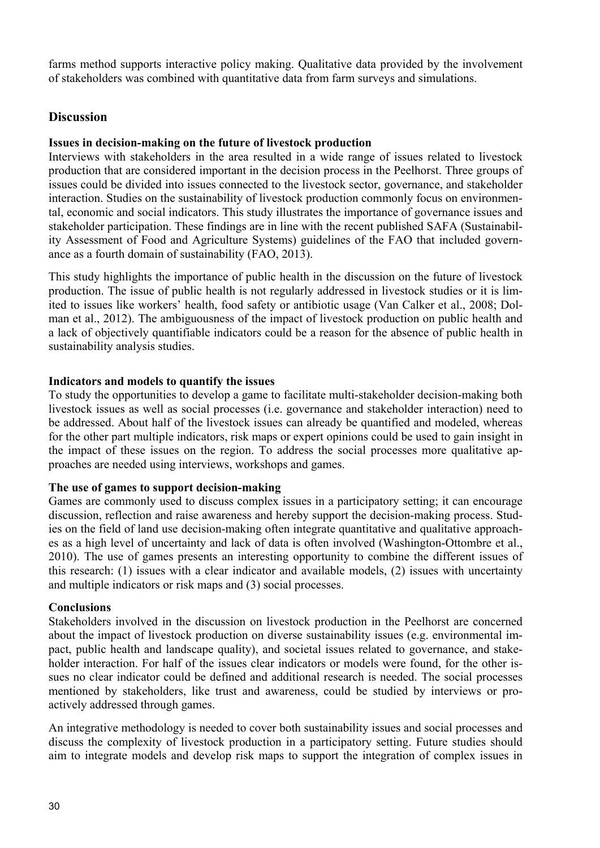farms method supports interactive policy making. Qualitative data provided by the involvement of stakeholders was combined with quantitative data from farm surveys and simulations.

## **Discussion**

#### **Issues in decision-making on the future of livestock production**

Interviews with stakeholders in the area resulted in a wide range of issues related to livestock production that are considered important in the decision process in the Peelhorst. Three groups of issues could be divided into issues connected to the livestock sector, governance, and stakeholder interaction. Studies on the sustainability of livestock production commonly focus on environmental, economic and social indicators. This study illustrates the importance of governance issues and stakeholder participation. These findings are in line with the recent published SAFA (Sustainability Assessment of Food and Agriculture Systems) guidelines of the FAO that included governance as a fourth domain of sustainability (FAO, 2013).

This study highlights the importance of public health in the discussion on the future of livestock production. The issue of public health is not regularly addressed in livestock studies or it is limited to issues like workers' health, food safety or antibiotic usage (Van Calker et al., 2008; Dolman et al., 2012). The ambiguousness of the impact of livestock production on public health and a lack of objectively quantifiable indicators could be a reason for the absence of public health in sustainability analysis studies.

#### **Indicators and models to quantify the issues**

To study the opportunities to develop a game to facilitate multi-stakeholder decision-making both livestock issues as well as social processes (i.e. governance and stakeholder interaction) need to be addressed. About half of the livestock issues can already be quantified and modeled, whereas for the other part multiple indicators, risk maps or expert opinions could be used to gain insight in the impact of these issues on the region. To address the social processes more qualitative approaches are needed using interviews, workshops and games.

#### **The use of games to support decision-making**

Games are commonly used to discuss complex issues in a participatory setting; it can encourage discussion, reflection and raise awareness and hereby support the decision-making process. Studies on the field of land use decision-making often integrate quantitative and qualitative approaches as a high level of uncertainty and lack of data is often involved (Washington-Ottombre et al., 2010). The use of games presents an interesting opportunity to combine the different issues of this research: (1) issues with a clear indicator and available models, (2) issues with uncertainty and multiple indicators or risk maps and (3) social processes.

#### **Conclusions**

Stakeholders involved in the discussion on livestock production in the Peelhorst are concerned about the impact of livestock production on diverse sustainability issues (e.g. environmental impact, public health and landscape quality), and societal issues related to governance, and stakeholder interaction. For half of the issues clear indicators or models were found, for the other issues no clear indicator could be defined and additional research is needed. The social processes mentioned by stakeholders, like trust and awareness, could be studied by interviews or proactively addressed through games.

An integrative methodology is needed to cover both sustainability issues and social processes and discuss the complexity of livestock production in a participatory setting. Future studies should aim to integrate models and develop risk maps to support the integration of complex issues in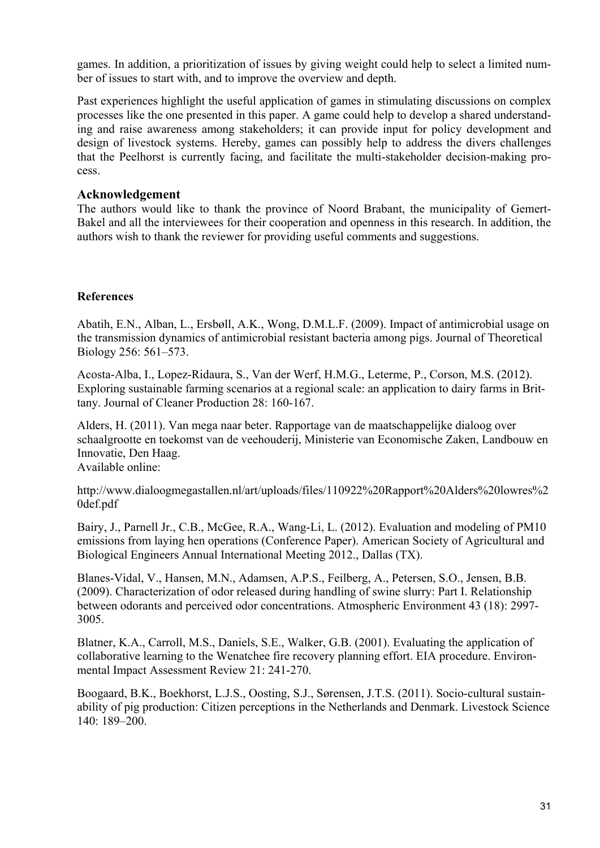games. In addition, a prioritization of issues by giving weight could help to select a limited number of issues to start with, and to improve the overview and depth.

Past experiences highlight the useful application of games in stimulating discussions on complex processes like the one presented in this paper. A game could help to develop a shared understanding and raise awareness among stakeholders; it can provide input for policy development and design of livestock systems. Hereby, games can possibly help to address the divers challenges that the Peelhorst is currently facing, and facilitate the multi-stakeholder decision-making process.

## **Acknowledgement**

The authors would like to thank the province of Noord Brabant, the municipality of Gemert-Bakel and all the interviewees for their cooperation and openness in this research. In addition, the authors wish to thank the reviewer for providing useful comments and suggestions.

#### **References**

Abatih, E.N., Alban, L., Ersbøll, A.K., Wong, D.M.L.F. (2009). Impact of antimicrobial usage on the transmission dynamics of antimicrobial resistant bacteria among pigs. Journal of Theoretical Biology 256: 561–573.

Acosta-Alba, I., Lopez-Ridaura, S., Van der Werf, H.M.G., Leterme, P., Corson, M.S. (2012). Exploring sustainable farming scenarios at a regional scale: an application to dairy farms in Brittany. Journal of Cleaner Production 28: 160-167.

Alders, H. (2011). Van mega naar beter. Rapportage van de maatschappelijke dialoog over schaalgrootte en toekomst van de veehouderij, Ministerie van Economische Zaken, Landbouw en Innovatie, Den Haag.

Available online:

http://www.dialoogmegastallen.nl/art/uploads/files/110922%20Rapport%20Alders%20lowres%2 0def.pdf

Bairy, J., Parnell Jr., C.B., McGee, R.A., Wang-Li, L. (2012). Evaluation and modeling of PM10 emissions from laying hen operations (Conference Paper). American Society of Agricultural and Biological Engineers Annual International Meeting 2012., Dallas (TX).

Blanes-Vidal, V., Hansen, M.N., Adamsen, A.P.S., Feilberg, A., Petersen, S.O., Jensen, B.B. (2009). Characterization of odor released during handling of swine slurry: Part I. Relationship between odorants and perceived odor concentrations. Atmospheric Environment 43 (18): 2997- 3005.

Blatner, K.A., Carroll, M.S., Daniels, S.E., Walker, G.B. (2001). Evaluating the application of collaborative learning to the Wenatchee fire recovery planning effort. EIA procedure. Environmental Impact Assessment Review 21: 241-270.

Boogaard, B.K., Boekhorst, L.J.S., Oosting, S.J., Sørensen, J.T.S. (2011). Socio-cultural sustainability of pig production: Citizen perceptions in the Netherlands and Denmark. Livestock Science 140: 189–200.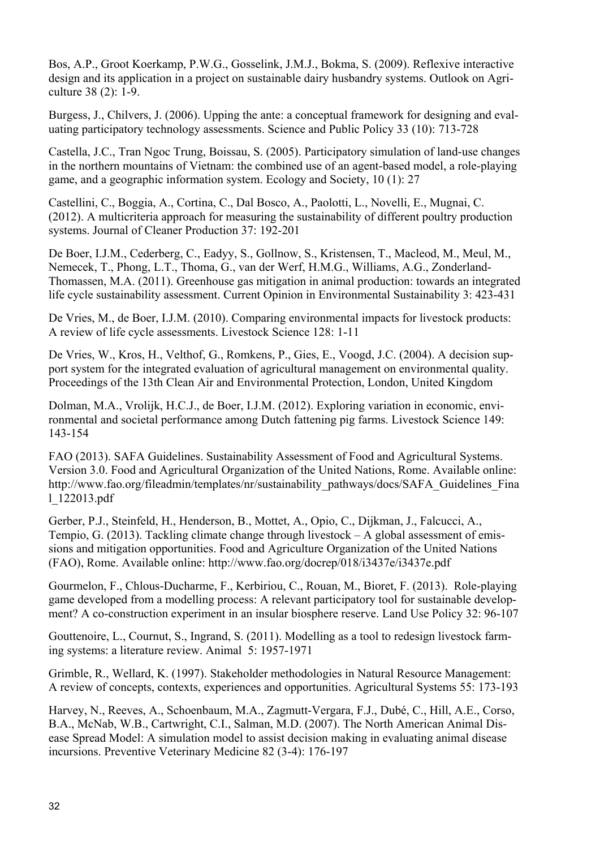Bos, A.P., Groot Koerkamp, P.W.G., Gosselink, J.M.J., Bokma, S. (2009). Reflexive interactive design and its application in a project on sustainable dairy husbandry systems. Outlook on Agriculture 38 (2): 1-9.

Burgess, J., Chilvers, J. (2006). Upping the ante: a conceptual framework for designing and evaluating participatory technology assessments. Science and Public Policy 33 (10): 713-728

Castella, J.C., Tran Ngoc Trung, Boissau, S. (2005). Participatory simulation of land-use changes in the northern mountains of Vietnam: the combined use of an agent-based model, a role-playing game, and a geographic information system. Ecology and Society, 10 (1): 27

Castellini, C., Boggia, A., Cortina, C., Dal Bosco, A., Paolotti, L., Novelli, E., Mugnai, C. (2012). A multicriteria approach for measuring the sustainability of different poultry production systems. Journal of Cleaner Production 37: 192-201

De Boer, I.J.M., Cederberg, C., Eadyy, S., Gollnow, S., Kristensen, T., Macleod, M., Meul, M., Nemecek, T., Phong, L.T., Thoma, G., van der Werf, H.M.G., Williams, A.G., Zonderland-Thomassen, M.A. (2011). Greenhouse gas mitigation in animal production: towards an integrated life cycle sustainability assessment. Current Opinion in Environmental Sustainability 3: 423-431

De Vries, M., de Boer, I.J.M. (2010). Comparing environmental impacts for livestock products: A review of life cycle assessments. Livestock Science 128: 1-11

De Vries, W., Kros, H., Velthof, G., Romkens, P., Gies, E., Voogd, J.C. (2004). A decision support system for the integrated evaluation of agricultural management on environmental quality. Proceedings of the 13th Clean Air and Environmental Protection, London, United Kingdom

Dolman, M.A., Vrolijk, H.C.J., de Boer, I.J.M. (2012). Exploring variation in economic, environmental and societal performance among Dutch fattening pig farms. Livestock Science 149: 143-154

FAO (2013). SAFA Guidelines. Sustainability Assessment of Food and Agricultural Systems. Version 3.0. Food and Agricultural Organization of the United Nations, Rome. Available online: http://www.fao.org/fileadmin/templates/nr/sustainability\_pathways/docs/SAFA\_Guidelines\_Fina l\_122013.pdf

Gerber, P.J., Steinfeld, H., Henderson, B., Mottet, A., Opio, C., Dijkman, J., Falcucci, A., Tempio, G. (2013). Tackling climate change through livestock – A global assessment of emissions and mitigation opportunities. Food and Agriculture Organization of the United Nations (FAO), Rome. Available online: http://www.fao.org/docrep/018/i3437e/i3437e.pdf

Gourmelon, F., Chlous-Ducharme, F., Kerbiriou, C., Rouan, M., Bioret, F. (2013). Role-playing game developed from a modelling process: A relevant participatory tool for sustainable development? A co-construction experiment in an insular biosphere reserve. Land Use Policy 32: 96-107

Gouttenoire, L., Cournut, S., Ingrand, S. (2011). Modelling as a tool to redesign livestock farming systems: a literature review. Animal 5: 1957-1971

Grimble, R., Wellard, K. (1997). Stakeholder methodologies in Natural Resource Management: A review of concepts, contexts, experiences and opportunities. Agricultural Systems 55: 173-193

Harvey, N., Reeves, A., Schoenbaum, M.A., Zagmutt-Vergara, F.J., Dubé, C., Hill, A.E., Corso, B.A., McNab, W.B., Cartwright, C.I., Salman, M.D. (2007). The North American Animal Disease Spread Model: A simulation model to assist decision making in evaluating animal disease incursions. Preventive Veterinary Medicine 82 (3-4): 176-197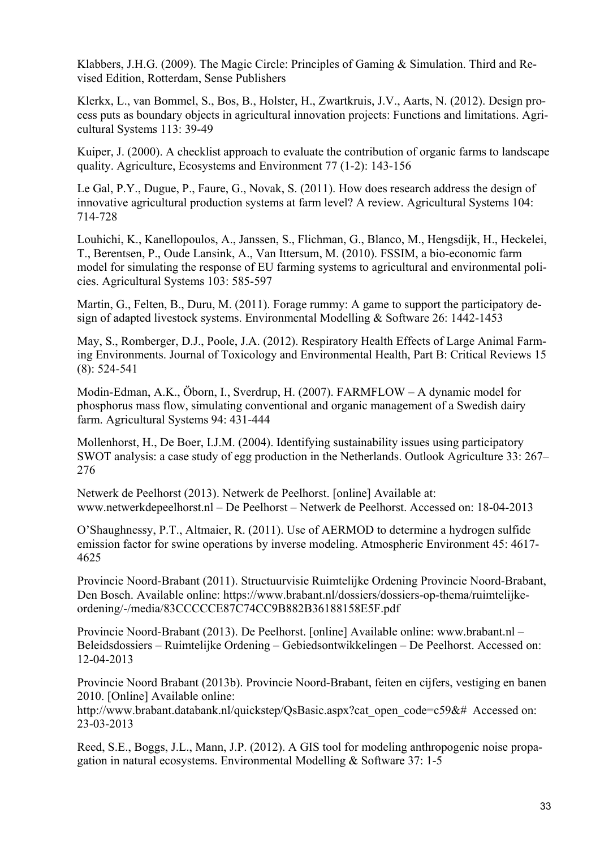Klabbers, J.H.G. (2009). The Magic Circle: Principles of Gaming & Simulation. Third and Revised Edition, Rotterdam, Sense Publishers

Klerkx, L., van Bommel, S., Bos, B., Holster, H., Zwartkruis, J.V., Aarts, N. (2012). Design process puts as boundary objects in agricultural innovation projects: Functions and limitations. Agricultural Systems 113: 39-49

Kuiper, J. (2000). A checklist approach to evaluate the contribution of organic farms to landscape quality. Agriculture, Ecosystems and Environment 77 (1-2): 143-156

Le Gal, P.Y., Dugue, P., Faure, G., Novak, S. (2011). How does research address the design of innovative agricultural production systems at farm level? A review. Agricultural Systems 104: 714-728

Louhichi, K., Kanellopoulos, A., Janssen, S., Flichman, G., Blanco, M., Hengsdijk, H., Heckelei, T., Berentsen, P., Oude Lansink, A., Van Ittersum, M. (2010). FSSIM, a bio-economic farm model for simulating the response of EU farming systems to agricultural and environmental policies. Agricultural Systems 103: 585-597

Martin, G., Felten, B., Duru, M. (2011). Forage rummy: A game to support the participatory design of adapted livestock systems. Environmental Modelling & Software 26: 1442-1453

May, S., Romberger, D.J., Poole, J.A. (2012). Respiratory Health Effects of Large Animal Farming Environments. Journal of Toxicology and Environmental Health, Part B: Critical Reviews 15 (8): 524-541

Modin-Edman, A.K., Öborn, I., Sverdrup, H. (2007). FARMFLOW – A dynamic model for phosphorus mass flow, simulating conventional and organic management of a Swedish dairy farm. Agricultural Systems 94: 431-444

Mollenhorst, H., De Boer, I.J.M. (2004). Identifying sustainability issues using participatory SWOT analysis: a case study of egg production in the Netherlands. Outlook Agriculture 33: 267– 276

Netwerk de Peelhorst (2013). Netwerk de Peelhorst. [online] Available at: www.netwerkdepeelhorst.nl – De Peelhorst – Netwerk de Peelhorst. Accessed on: 18-04-2013

O'Shaughnessy, P.T., Altmaier, R. (2011). Use of AERMOD to determine a hydrogen sulfide emission factor for swine operations by inverse modeling. Atmospheric Environment 45: 4617- 4625

Provincie Noord-Brabant (2011). Structuurvisie Ruimtelijke Ordening Provincie Noord-Brabant, Den Bosch. Available online: https://www.brabant.nl/dossiers/dossiers-op-thema/ruimtelijkeordening/-/media/83CCCCCE87C74CC9B882B36188158E5F.pdf

Provincie Noord-Brabant (2013). De Peelhorst. [online] Available online: www.brabant.nl – Beleidsdossiers – Ruimtelijke Ordening – Gebiedsontwikkelingen – De Peelhorst. Accessed on: 12-04-2013

Provincie Noord Brabant (2013b). Provincie Noord-Brabant, feiten en cijfers, vestiging en banen 2010. [Online] Available online:

http://www.brabant.databank.nl/quickstep/QsBasic.aspx?cat\_open\_code=c59&# Accessed on: 23-03-2013

Reed, S.E., Boggs, J.L., Mann, J.P. (2012). A GIS tool for modeling anthropogenic noise propagation in natural ecosystems. Environmental Modelling & Software 37: 1-5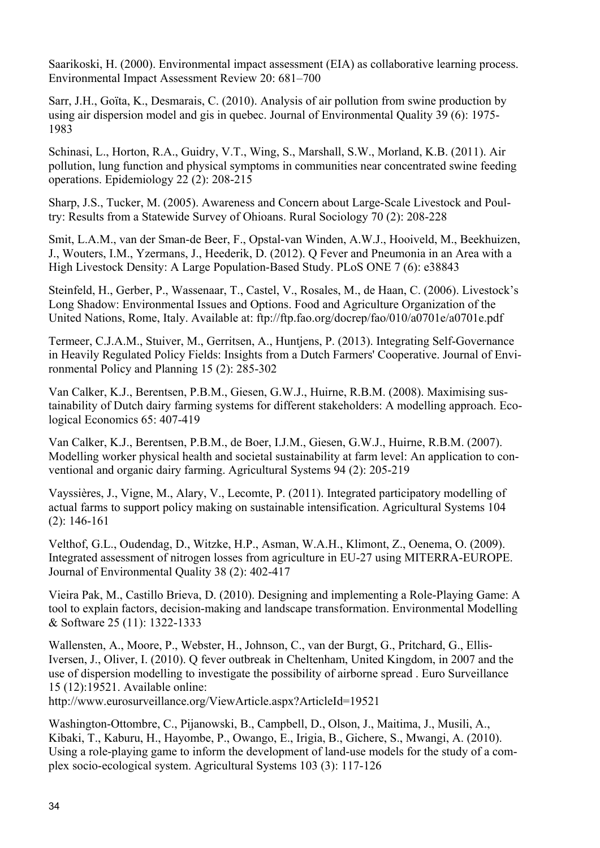Saarikoski, H. (2000). Environmental impact assessment (EIA) as collaborative learning process. Environmental Impact Assessment Review 20: 681–700

Sarr, J.H., Goïta, K., Desmarais, C. (2010). Analysis of air pollution from swine production by using air dispersion model and gis in quebec. Journal of Environmental Quality 39 (6): 1975- 1983

Schinasi, L., Horton, R.A., Guidry, V.T., Wing, S., Marshall, S.W., Morland, K.B. (2011). Air pollution, lung function and physical symptoms in communities near concentrated swine feeding operations. Epidemiology 22 (2): 208-215

Sharp, J.S., Tucker, M. (2005). Awareness and Concern about Large-Scale Livestock and Poultry: Results from a Statewide Survey of Ohioans. Rural Sociology 70 (2): 208-228

Smit, L.A.M., van der Sman-de Beer, F., Opstal-van Winden, A.W.J., Hooiveld, M., Beekhuizen, J., Wouters, I.M., Yzermans, J., Heederik, D. (2012). Q Fever and Pneumonia in an Area with a High Livestock Density: A Large Population-Based Study. PLoS ONE 7 (6): e38843

Steinfeld, H., Gerber, P., Wassenaar, T., Castel, V., Rosales, M., de Haan, C. (2006). Livestock's Long Shadow: Environmental Issues and Options. Food and Agriculture Organization of the United Nations, Rome, Italy. Available at: ftp://ftp.fao.org/docrep/fao/010/a0701e/a0701e.pdf

Termeer, C.J.A.M., Stuiver, M., Gerritsen, A., Huntjens, P. (2013). Integrating Self-Governance in Heavily Regulated Policy Fields: Insights from a Dutch Farmers' Cooperative. Journal of Environmental Policy and Planning 15 (2): 285-302

Van Calker, K.J., Berentsen, P.B.M., Giesen, G.W.J., Huirne, R.B.M. (2008). Maximising sustainability of Dutch dairy farming systems for different stakeholders: A modelling approach. Ecological Economics 65: 407-419

Van Calker, K.J., Berentsen, P.B.M., de Boer, I.J.M., Giesen, G.W.J., Huirne, R.B.M. (2007). Modelling worker physical health and societal sustainability at farm level: An application to conventional and organic dairy farming. Agricultural Systems 94 (2): 205-219

Vayssières, J., Vigne, M., Alary, V., Lecomte, P. (2011). Integrated participatory modelling of actual farms to support policy making on sustainable intensification. Agricultural Systems 104 (2): 146-161

Velthof, G.L., Oudendag, D., Witzke, H.P., Asman, W.A.H., Klimont, Z., Oenema, O. (2009). Integrated assessment of nitrogen losses from agriculture in EU-27 using MITERRA-EUROPE. Journal of Environmental Quality 38 (2): 402-417

Vieira Pak, M., Castillo Brieva, D. (2010). Designing and implementing a Role-Playing Game: A tool to explain factors, decision-making and landscape transformation. Environmental Modelling & Software 25 (11): 1322-1333

Wallensten, A., Moore, P., Webster, H., Johnson, C., van der Burgt, G., Pritchard, G., Ellis-Iversen, J., Oliver, I. (2010). Q fever outbreak in Cheltenham, United Kingdom, in 2007 and the use of dispersion modelling to investigate the possibility of airborne spread . Euro Surveillance 15 (12):19521. Available online:

http://www.eurosurveillance.org/ViewArticle.aspx?ArticleId=19521

Washington-Ottombre, C., Pijanowski, B., Campbell, D., Olson, J., Maitima, J., Musili, A., Kibaki, T., Kaburu, H., Hayombe, P., Owango, E., Irigia, B., Gichere, S., Mwangi, A. (2010). Using a role-playing game to inform the development of land-use models for the study of a complex socio-ecological system. Agricultural Systems 103 (3): 117-126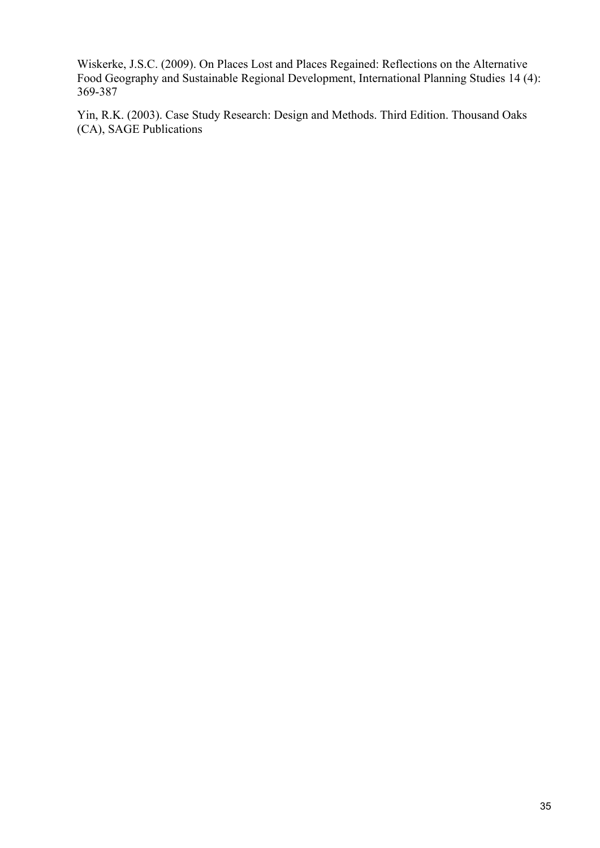Wiskerke, J.S.C. (2009). On Places Lost and Places Regained: Reflections on the Alternative Food Geography and Sustainable Regional Development, International Planning Studies 14 (4): 369-387

Yin, R.K. (2003). Case Study Research: Design and Methods. Third Edition. Thousand Oaks (CA), SAGE Publications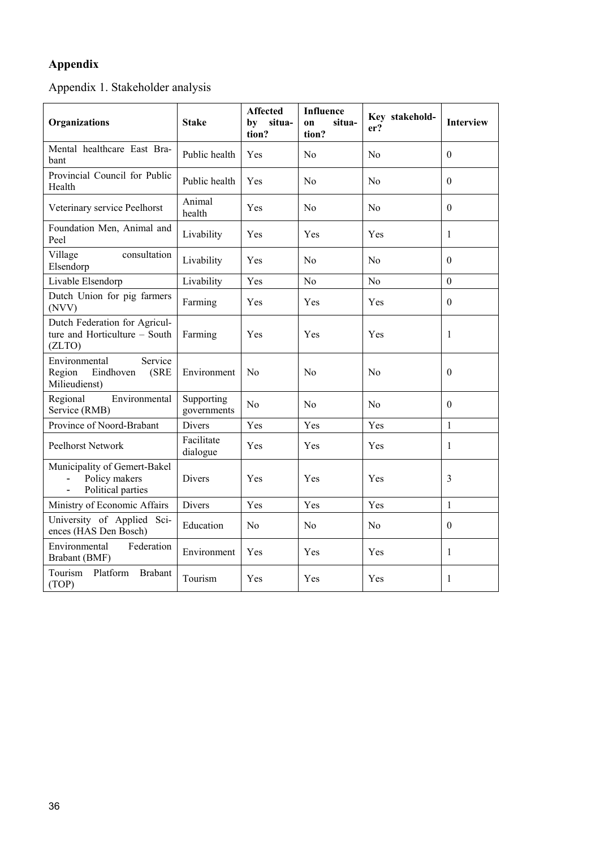# **Appendix**

Appendix 1. Stakeholder analysis

| Organizations                                                                        | <b>Stake</b>              | Affected<br>situa-<br>bv<br>tion? | <b>Influence</b><br>situa-<br>on<br>tion? | Key stakehold-<br>er? | <b>Interview</b> |
|--------------------------------------------------------------------------------------|---------------------------|-----------------------------------|-------------------------------------------|-----------------------|------------------|
| Mental healthcare East Bra-<br>bant                                                  | Public health             | Yes                               | N <sub>o</sub>                            | N <sub>o</sub>        | $\mathbf{0}$     |
| Provincial Council for Public<br>Health                                              | Public health             | Yes                               | N <sub>o</sub>                            | N <sub>0</sub>        | $\theta$         |
| Veterinary service Peelhorst                                                         | Animal<br>health          | Yes                               | N <sub>o</sub>                            | N <sub>0</sub>        | $\mathbf{0}$     |
| Foundation Men, Animal and<br>Peel                                                   | Livability                | Yes                               | Yes                                       | Yes                   | $\mathbf{1}$     |
| Village<br>consultation<br>Elsendorp                                                 | Livability                | Yes                               | No                                        | No                    | $\theta$         |
| Livable Elsendorp                                                                    | Livability                | Yes                               | No                                        | N <sub>0</sub>        | $\mathbf{0}$     |
| Dutch Union for pig farmers<br>(NVV)                                                 | Farming                   | Yes                               | Yes                                       | Yes                   | $\overline{0}$   |
| Dutch Federation for Agricul-<br>ture and Horticulture - South<br>(ZLTO)             | Farming                   | Yes                               | Yes                                       | Yes                   | $\mathbf{1}$     |
| Environmental<br>Service<br>Region<br>Eindhoven<br>(SRE<br>Milieudienst)             | Environment               | No                                | No                                        | N <sub>0</sub>        | $\theta$         |
| Regional<br>Environmental<br>Service (RMB)                                           | Supporting<br>governments | No                                | N <sub>o</sub>                            | N <sub>0</sub>        | $\mathbf{0}$     |
| Province of Noord-Brabant                                                            | Divers                    | Yes                               | Yes                                       | Yes                   | $\mathbf{1}$     |
| <b>Peelhorst Network</b>                                                             | Facilitate<br>dialogue    | Yes                               | Yes                                       | Yes                   | 1                |
| Municipality of Gemert-Bakel<br>Policy makers<br>$\blacksquare$<br>Political parties | Divers                    | Yes                               | Yes                                       | Yes                   | 3                |
| Ministry of Economic Affairs                                                         | Divers                    | Yes                               | Yes                                       | Yes                   | $\mathbf{1}$     |
| University of Applied Sci-<br>ences (HAS Den Bosch)                                  | Education                 | No                                | No                                        | No.                   | $\theta$         |
| Environmental<br>Federation<br>Brabant (BMF)                                         | Environment               | Yes                               | Yes                                       | Yes                   | 1                |
| Tourism<br>Platform<br><b>Brabant</b><br>(TOP)                                       | Tourism                   | Yes                               | Yes                                       | Yes                   | $\mathbf{1}$     |